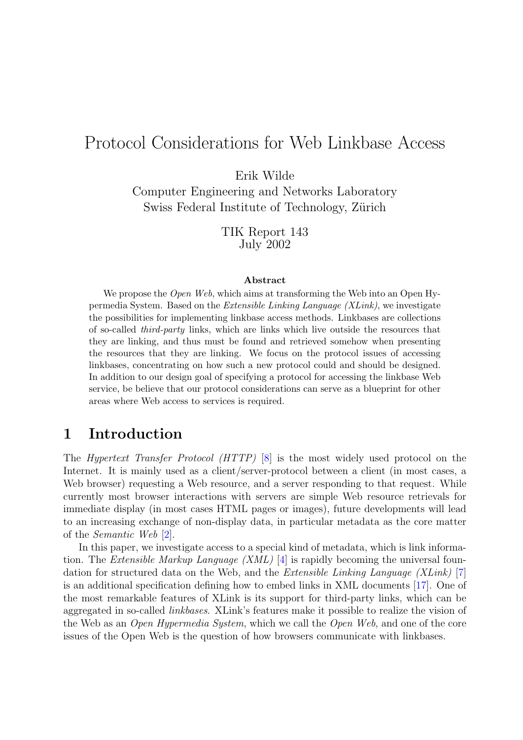# Protocol Considerations for Web Linkbase Access

Erik Wilde

Computer Engineering and Networks Laboratory Swiss Federal Institute of Technology, Zürich

> TIK Report 143 July 2002

#### Abstract

We propose the *Open Web*, which aims at transforming the Web into an Open Hypermedia System. Based on the Extensible Linking Language (XLink), we investigate the possibilities for implementing linkbase access methods. Linkbases are collections of so-called third-party links, which are links which live outside the resources that they are linking, and thus must be found and retrieved somehow when presenting the resources that they are linking. We focus on the protocol issues of accessing linkbases, concentrating on how such a new protocol could and should be designed. In addition to our design goal of specifying a protocol for accessing the linkbase Web service, be believe that our protocol considerations can serve as a blueprint for other areas where Web access to services is required.

# 1 Introduction

The Hypertext Transfer Protocol (HTTP) [\[8\]](#page-8-0) is the most widely used protocol on the Internet. It is mainly used as a client/server-protocol between a client (in most cases, a Web browser) requesting a Web resource, and a server responding to that request. While currently most browser interactions with servers are simple Web resource retrievals for immediate display (in most cases HTML pages or images), future developments will lead to an increasing exchange of non-display data, in particular metadata as the core matter of the Semantic Web [\[2\]](#page-8-0).

In this paper, we investigate access to a special kind of metadata, which is link information. The Extensible Markup Language (XML) [\[4\]](#page-8-0) is rapidly becoming the universal foundation for structured data on the Web, and the Extensible Linking Language (XLink) [\[7\]](#page-8-0) is an additional specification defining how to embed links in XML documents [\[17\]](#page-9-0). One of the most remarkable features of XLink is its support for third-party links, which can be aggregated in so-called linkbases. XLink's features make it possible to realize the vision of the Web as an Open Hypermedia System, which we call the Open Web, and one of the core issues of the Open Web is the question of how browsers communicate with linkbases.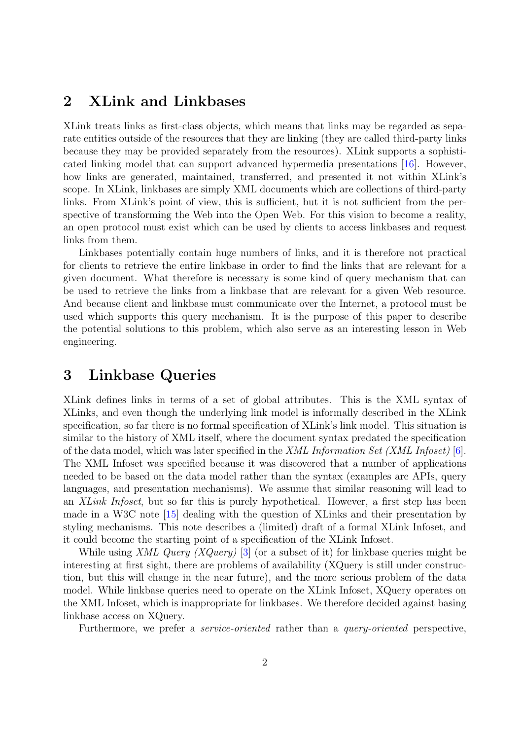# 2 XLink and Linkbases

XLink treats links as first-class objects, which means that links may be regarded as separate entities outside of the resources that they are linking (they are called third-party links because they may be provided separately from the resources). XLink supports a sophisticated linking model that can support advanced hypermedia presentations [\[16\]](#page-9-0). However, how links are generated, maintained, transferred, and presented it not within XLink's scope. In XLink, linkbases are simply XML documents which are collections of third-party links. From XLink's point of view, this is sufficient, but it is not sufficient from the perspective of transforming the Web into the Open Web. For this vision to become a reality, an open protocol must exist which can be used by clients to access linkbases and request links from them.

Linkbases potentially contain huge numbers of links, and it is therefore not practical for clients to retrieve the entire linkbase in order to find the links that are relevant for a given document. What therefore is necessary is some kind of query mechanism that can be used to retrieve the links from a linkbase that are relevant for a given Web resource. And because client and linkbase must communicate over the Internet, a protocol must be used which supports this query mechanism. It is the purpose of this paper to describe the potential solutions to this problem, which also serve as an interesting lesson in Web engineering.

# 3 Linkbase Queries

XLink defines links in terms of a set of global attributes. This is the XML syntax of XLinks, and even though the underlying link model is informally described in the XLink specification, so far there is no formal specification of XLink's link model. This situation is similar to the history of XML itself, where the document syntax predated the specification of the data model, which was later specified in the XML Information Set (XML Infoset) [\[6\]](#page-8-0). The XML Infoset was specified because it was discovered that a number of applications needed to be based on the data model rather than the syntax (examples are APIs, query languages, and presentation mechanisms). We assume that similar reasoning will lead to an XLink Infoset, but so far this is purely hypothetical. However, a first step has been made in a W3C note [\[15\]](#page-9-0) dealing with the question of XLinks and their presentation by styling mechanisms. This note describes a (limited) draft of a formal XLink Infoset, and it could become the starting point of a specification of the XLink Infoset.

While using XML Query (XQuery) [\[3\]](#page-8-0) (or a subset of it) for linkbase queries might be interesting at first sight, there are problems of availability (XQuery is still under construction, but this will change in the near future), and the more serious problem of the data model. While linkbase queries need to operate on the XLink Infoset, XQuery operates on the XML Infoset, which is inappropriate for linkbases. We therefore decided against basing linkbase access on XQuery.

Furthermore, we prefer a *service-oriented* rather than a *query-oriented* perspective,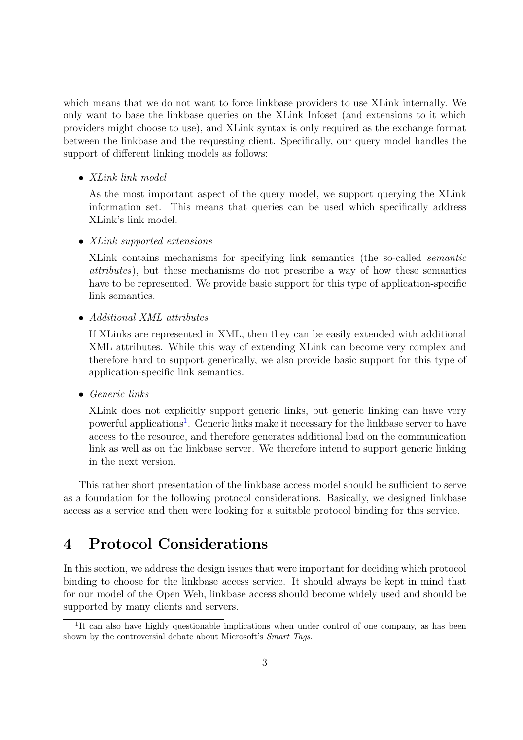<span id="page-2-0"></span>which means that we do not want to force linkbase providers to use XLink internally. We only want to base the linkbase queries on the XLink Infoset (and extensions to it which providers might choose to use), and XLink syntax is only required as the exchange format between the linkbase and the requesting client. Specifically, our query model handles the support of different linking models as follows:

• XLink link model

As the most important aspect of the query model, we support querying the XLink information set. This means that queries can be used which specifically address XLink's link model.

• XLink supported extensions

XLink contains mechanisms for specifying link semantics (the so-called semantic attributes), but these mechanisms do not prescribe a way of how these semantics have to be represented. We provide basic support for this type of application-specific link semantics.

• Additional XML attributes

If XLinks are represented in XML, then they can be easily extended with additional XML attributes. While this way of extending XLink can become very complex and therefore hard to support generically, we also provide basic support for this type of application-specific link semantics.

• Generic links

XLink does not explicitly support generic links, but generic linking can have very powerful applications<sup>1</sup>. Generic links make it necessary for the linkbase server to have access to the resource, and therefore generates additional load on the communication link as well as on the linkbase server. We therefore intend to support generic linking in the next version.

This rather short presentation of the linkbase access model should be sufficient to serve as a foundation for the following protocol considerations. Basically, we designed linkbase access as a service and then were looking for a suitable protocol binding for this service.

# 4 Protocol Considerations

In this section, we address the design issues that were important for deciding which protocol binding to choose for the linkbase access service. It should always be kept in mind that for our model of the Open Web, linkbase access should become widely used and should be supported by many clients and servers.

<sup>&</sup>lt;sup>1</sup>It can also have highly questionable implications when under control of one company, as has been shown by the controversial debate about Microsoft's *Smart Tags*.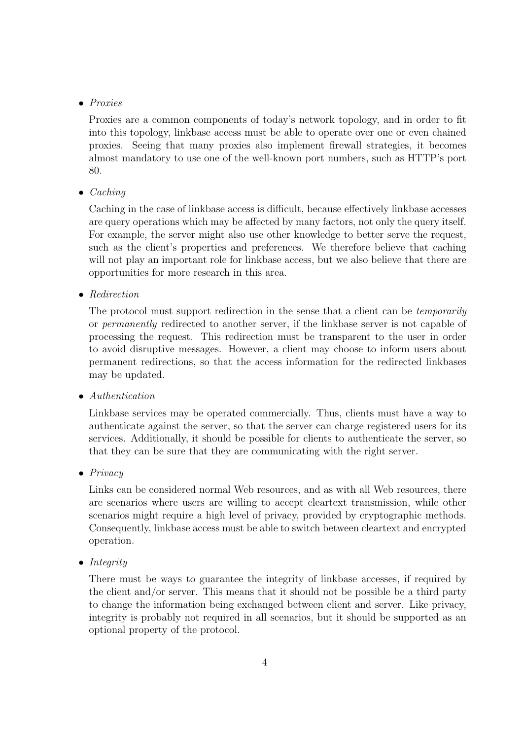#### • Proxies

Proxies are a common components of today's network topology, and in order to fit into this topology, linkbase access must be able to operate over one or even chained proxies. Seeing that many proxies also implement firewall strategies, it becomes almost mandatory to use one of the well-known port numbers, such as HTTP's port 80.

#### $\bullet$  *Caching*

Caching in the case of linkbase access is difficult, because effectively linkbase accesses are query operations which may be affected by many factors, not only the query itself. For example, the server might also use other knowledge to better serve the request, such as the client's properties and preferences. We therefore believe that caching will not play an important role for linkbase access, but we also believe that there are opportunities for more research in this area.

• Redirection

The protocol must support redirection in the sense that a client can be *temporarily* or permanently redirected to another server, if the linkbase server is not capable of processing the request. This redirection must be transparent to the user in order to avoid disruptive messages. However, a client may choose to inform users about permanent redirections, so that the access information for the redirected linkbases may be updated.

• Authentication

Linkbase services may be operated commercially. Thus, clients must have a way to authenticate against the server, so that the server can charge registered users for its services. Additionally, it should be possible for clients to authenticate the server, so that they can be sure that they are communicating with the right server.

• Privacy

Links can be considered normal Web resources, and as with all Web resources, there are scenarios where users are willing to accept cleartext transmission, while other scenarios might require a high level of privacy, provided by cryptographic methods. Consequently, linkbase access must be able to switch between cleartext and encrypted operation.

• Integrity

There must be ways to guarantee the integrity of linkbase accesses, if required by the client and/or server. This means that it should not be possible be a third party to change the information being exchanged between client and server. Like privacy, integrity is probably not required in all scenarios, but it should be supported as an optional property of the protocol.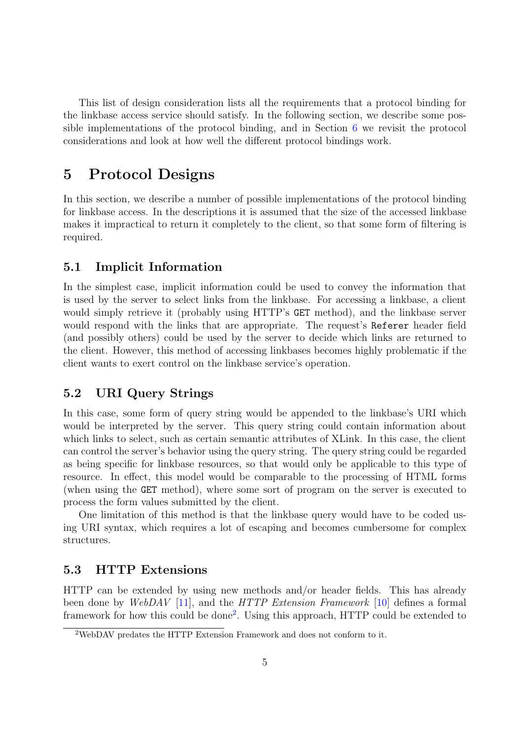This list of design consideration lists all the requirements that a protocol binding for the linkbase access service should satisfy. In the following section, we describe some possible implementations of the protocol binding, and in Section  $6 \le$  $6 \le$  we revisit the protocol considerations and look at how well the different protocol bindings work.

# 5 Protocol Designs

In this section, we describe a number of possible implementations of the protocol binding for linkbase access. In the descriptions it is assumed that the size of the accessed linkbase makes it impractical to return it completely to the client, so that some form of filtering is required.

### 5.1 Implicit Information

In the simplest case, implicit information could be used to convey the information that is used by the server to select links from the linkbase. For accessing a linkbase, a client would simply retrieve it (probably using HTTP's GET method), and the linkbase server would respond with the links that are appropriate. The request's Referer header field (and possibly others) could be used by the server to decide which links are returned to the client. However, this method of accessing linkbases becomes highly problematic if the client wants to exert control on the linkbase service's operation.

## 5.2 URI Query Strings

In this case, some form of query string would be appended to the linkbase's URI which would be interpreted by the server. This query string could contain information about which links to select, such as certain semantic attributes of XLink. In this case, the client can control the server's behavior using the query string. The query string could be regarded as being specific for linkbase resources, so that would only be applicable to this type of resource. In effect, this model would be comparable to the processing of HTML forms (when using the GET method), where some sort of program on the server is executed to process the form values submitted by the client.

One limitation of this method is that the linkbase query would have to be coded using URI syntax, which requires a lot of escaping and becomes cumbersome for complex structures.

#### 5.3 HTTP Extensions

HTTP can be extended by using new methods and/or header fields. This has already been done by WebDAV [\[11\]](#page-8-0), and the HTTP Extension Framework [\[10\]](#page-8-0) defines a formal framework for how this could be done<sup>2</sup>. Using this approach, HTTP could be extended to

<sup>2</sup>WebDAV predates the HTTP Extension Framework and does not conform to it.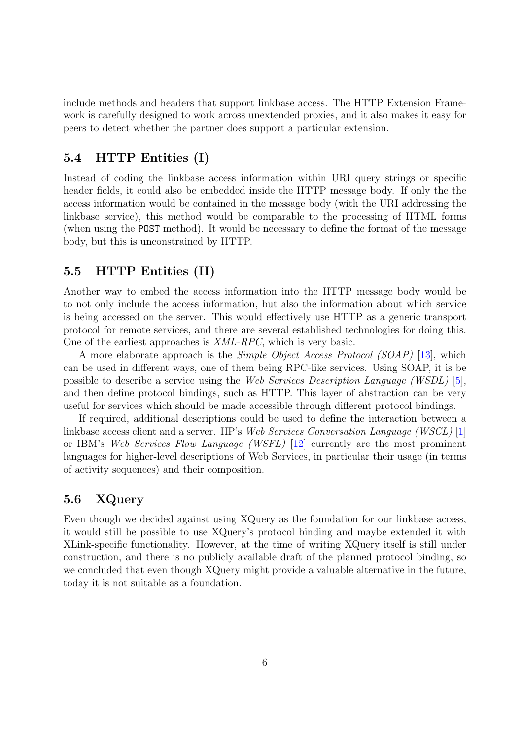<span id="page-5-0"></span>include methods and headers that support linkbase access. The HTTP Extension Framework is carefully designed to work across unextended proxies, and it also makes it easy for peers to detect whether the partner does support a particular extension.

#### 5.4 HTTP Entities (I)

Instead of coding the linkbase access information within URI query strings or specific header fields, it could also be embedded inside the HTTP message body. If only the the access information would be contained in the message body (with the URI addressing the linkbase service), this method would be comparable to the processing of HTML forms (when using the POST method). It would be necessary to define the format of the message body, but this is unconstrained by HTTP.

### 5.5 HTTP Entities (II)

Another way to embed the access information into the HTTP message body would be to not only include the access information, but also the information about which service is being accessed on the server. This would effectively use HTTP as a generic transport protocol for remote services, and there are several established technologies for doing this. One of the earliest approaches is XML-RPC, which is very basic.

A more elaborate approach is the Simple Object Access Protocol (SOAP) [\[13\]](#page-8-0), which can be used in different ways, one of them being RPC-like services. Using SOAP, it is be possible to describe a service using the Web Services Description Language (WSDL) [\[5\]](#page-8-0), and then define protocol bindings, such as HTTP. This layer of abstraction can be very useful for services which should be made accessible through different protocol bindings.

If required, additional descriptions could be used to define the interaction between a linkbase access client and a server. HP's Web Services Conversation Language (WSCL) [\[1\]](#page-8-0) or IBM's Web Services Flow Language (WSFL) [\[12\]](#page-8-0) currently are the most prominent languages for higher-level descriptions of Web Services, in particular their usage (in terms of activity sequences) and their composition.

## 5.6 XQuery

Even though we decided against using XQuery as the foundation for our linkbase access, it would still be possible to use XQuery's protocol binding and maybe extended it with XLink-specific functionality. However, at the time of writing XQuery itself is still under construction, and there is no publicly available draft of the planned protocol binding, so we concluded that even though XQuery might provide a valuable alternative in the future, today it is not suitable as a foundation.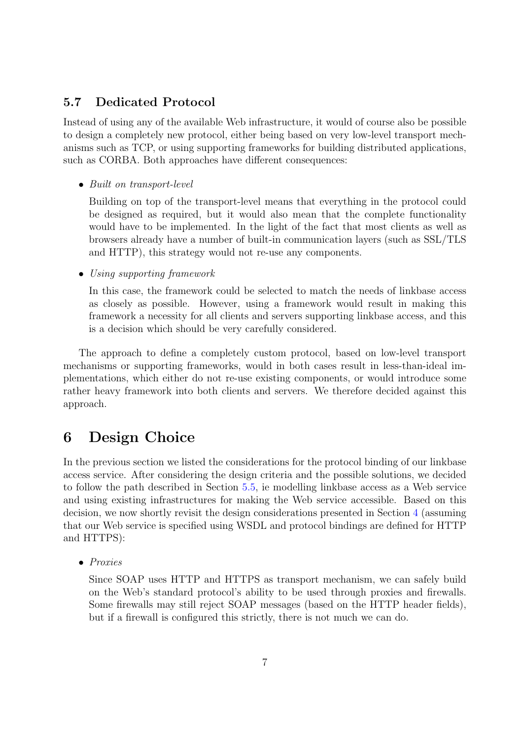#### <span id="page-6-0"></span>5.7 Dedicated Protocol

Instead of using any of the available Web infrastructure, it would of course also be possible to design a completely new protocol, either being based on very low-level transport mechanisms such as TCP, or using supporting frameworks for building distributed applications, such as CORBA. Both approaches have different consequences:

• Built on transport-level

Building on top of the transport-level means that everything in the protocol could be designed as required, but it would also mean that the complete functionality would have to be implemented. In the light of the fact that most clients as well as browsers already have a number of built-in communication layers (such as SSL/TLS and HTTP), this strategy would not re-use any components.

• Using supporting framework

In this case, the framework could be selected to match the needs of linkbase access as closely as possible. However, using a framework would result in making this framework a necessity for all clients and servers supporting linkbase access, and this is a decision which should be very carefully considered.

The approach to define a completely custom protocol, based on low-level transport mechanisms or supporting frameworks, would in both cases result in less-than-ideal implementations, which either do not re-use existing components, or would introduce some rather heavy framework into both clients and servers. We therefore decided against this approach.

# 6 Design Choice

In the previous section we listed the considerations for the protocol binding of our linkbase access service. After considering the design criteria and the possible solutions, we decided to follow the path described in Section [5.5,](#page-5-0) ie modelling linkbase access as a Web service and using existing infrastructures for making the Web service accessible. Based on this decision, we now shortly revisit the design considerations presented in Section [4](#page-2-0) (assuming that our Web service is specified using WSDL and protocol bindings are defined for HTTP and HTTPS):

• Proxies

Since SOAP uses HTTP and HTTPS as transport mechanism, we can safely build on the Web's standard protocol's ability to be used through proxies and firewalls. Some firewalls may still reject SOAP messages (based on the HTTP header fields), but if a firewall is configured this strictly, there is not much we can do.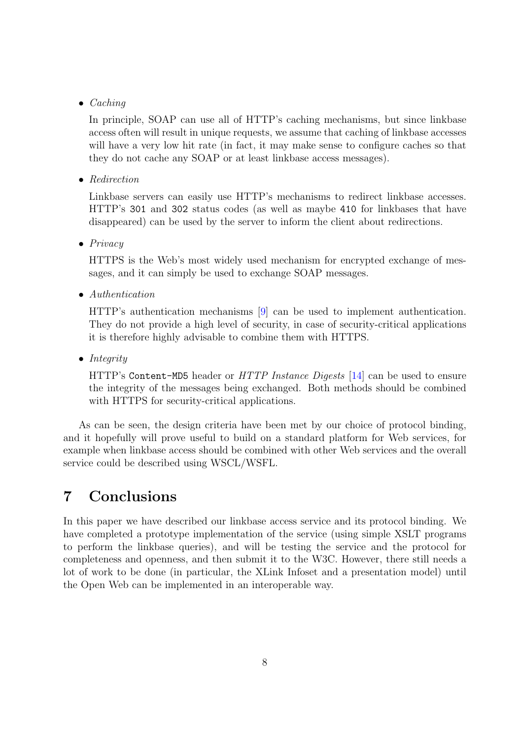#### • Caching

In principle, SOAP can use all of HTTP's caching mechanisms, but since linkbase access often will result in unique requests, we assume that caching of linkbase accesses will have a very low hit rate (in fact, it may make sense to configure caches so that they do not cache any SOAP or at least linkbase access messages).

• Redirection

Linkbase servers can easily use HTTP's mechanisms to redirect linkbase accesses. HTTP's 301 and 302 status codes (as well as maybe 410 for linkbases that have disappeared) can be used by the server to inform the client about redirections.

• Privacy

HTTPS is the Web's most widely used mechanism for encrypted exchange of messages, and it can simply be used to exchange SOAP messages.

• Authentication

HTTP's authentication mechanisms [\[9\]](#page-8-0) can be used to implement authentication. They do not provide a high level of security, in case of security-critical applications it is therefore highly advisable to combine them with HTTPS.

• Integrity

HTTP's Content-MD5 header or HTTP Instance Digests [\[14\]](#page-8-0) can be used to ensure the integrity of the messages being exchanged. Both methods should be combined with HTTPS for security-critical applications.

As can be seen, the design criteria have been met by our choice of protocol binding, and it hopefully will prove useful to build on a standard platform for Web services, for example when linkbase access should be combined with other Web services and the overall service could be described using WSCL/WSFL.

# 7 Conclusions

In this paper we have described our linkbase access service and its protocol binding. We have completed a prototype implementation of the service (using simple XSLT programs to perform the linkbase queries), and will be testing the service and the protocol for completeness and openness, and then submit it to the W3C. However, there still needs a lot of work to be done (in particular, the XLink Infoset and a presentation model) until the Open Web can be implemented in an interoperable way.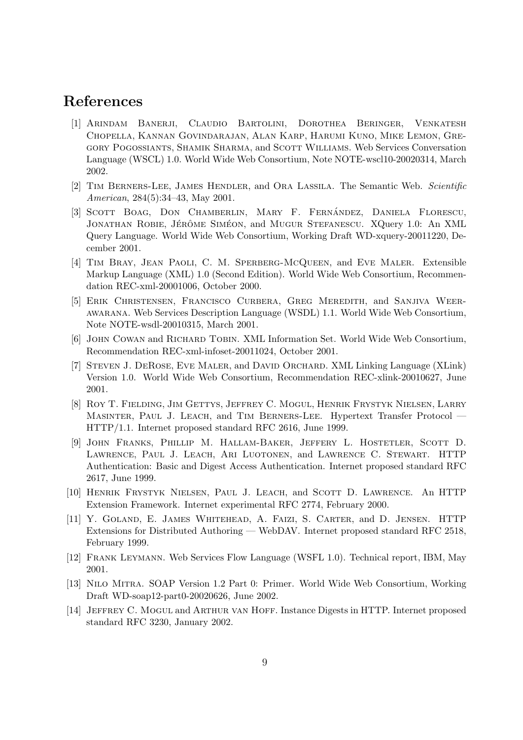## <span id="page-8-0"></span>References

- [1] Arindam Banerji, Claudio Bartolini, Dorothea Beringer, Venkatesh Chopella, Kannan Govindarajan, Alan Karp, Harumi Kuno, Mike Lemon, Gregory Pogossiants, Shamik Sharma, and Scott Williams. Web Services Conversation Language (WSCL) 1.0. World Wide Web Consortium, Note NOTE-wscl10-20020314, March 2002.
- [2] Tim Berners-Lee, James Hendler, and Ora Lassila. The Semantic Web. Scientific American, 284(5):34–43, May 2001.
- [3] SCOTT BOAG, DON CHAMBERLIN, MARY F. FERNÁNDEZ, DANIELA FLORESCU, JONATHAN ROBIE, JÉRÔME SIMÉON, and MUGUR STEFANESCU. XQuery 1.0: An XML Query Language. World Wide Web Consortium, Working Draft WD-xquery-20011220, December 2001.
- [4] Tim Bray, Jean Paoli, C. M. Sperberg-McQueen, and Eve Maler. Extensible Markup Language (XML) 1.0 (Second Edition). World Wide Web Consortium, Recommendation REC-xml-20001006, October 2000.
- [5] Erik Christensen, Francisco Curbera, Greg Meredith, and Sanjiva Weerawarana. Web Services Description Language (WSDL) 1.1. World Wide Web Consortium, Note NOTE-wsdl-20010315, March 2001.
- [6] John Cowan and Richard Tobin. XML Information Set. World Wide Web Consortium, Recommendation REC-xml-infoset-20011024, October 2001.
- [7] Steven J. DeRose, Eve Maler, and David Orchard. XML Linking Language (XLink) Version 1.0. World Wide Web Consortium, Recommendation REC-xlink-20010627, June 2001.
- [8] Roy T. Fielding, Jim Gettys, Jeffrey C. Mogul, Henrik Frystyk Nielsen, Larry Masinter, Paul J. Leach, and Tim Berners-Lee. Hypertext Transfer Protocol — HTTP/1.1. Internet proposed standard RFC 2616, June 1999.
- [9] John Franks, Phillip M. Hallam-Baker, Jeffery L. Hostetler, Scott D. Lawrence, Paul J. Leach, Ari Luotonen, and Lawrence C. Stewart. HTTP Authentication: Basic and Digest Access Authentication. Internet proposed standard RFC 2617, June 1999.
- [10] Henrik Frystyk Nielsen, Paul J. Leach, and Scott D. Lawrence. An HTTP Extension Framework. Internet experimental RFC 2774, February 2000.
- [11] Y. Goland, E. James Whitehead, A. Faizi, S. Carter, and D. Jensen. HTTP Extensions for Distributed Authoring — WebDAV. Internet proposed standard RFC 2518, February 1999.
- [12] Frank Leymann. Web Services Flow Language (WSFL 1.0). Technical report, IBM, May 2001.
- [13] Nilo Mitra. SOAP Version 1.2 Part 0: Primer. World Wide Web Consortium, Working Draft WD-soap12-part0-20020626, June 2002.
- [14] Jeffrey C. Mogul and Arthur van Hoff. Instance Digests in HTTP. Internet proposed standard RFC 3230, January 2002.